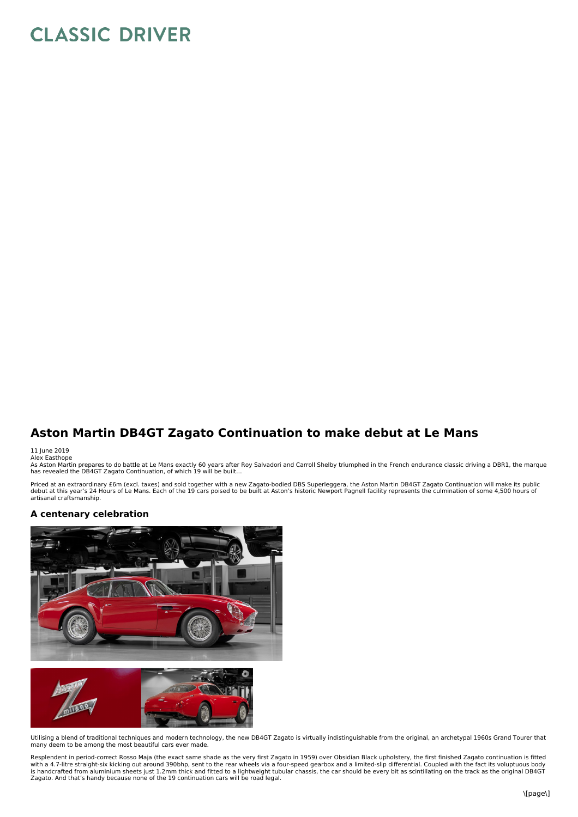## **CLASSIC DRIVER**

## **Aston Martin DB4GT Zagato Continuation to make debut at Le Mans**

## 11 June 2019<br>Alex Easthope

As Aston Martin prepares to do battle at Le Mans exactly 60 years after Roy Salvadori and Carroll Shelby triumphed in the French endurance classic driving a DBR1, the marque<br>has revealed the DB4GT Zagato Continuation, of w

Priced at an extraordinary £6m (excl. taxes) and sold together with a new Zagato-bodied DBS Superleggera, the Aston Martin DB4GT Zagato Continuation will make its public<br>debut at this year's 24 Hours of Le Mans. Each of th artisanal craftsmanship.

## **A centenary celebration**





Utilising a blend of traditional techniques and modern technology, the new DB4GT Zagato is virtually indistinguishable from the original, an archetypal 1960s Grand Tourer that many deem to be among the most beautiful cars ever made.

Resplendent in period-correct Rosso Maja (the exact same shade as the very first Zagato in 1959) over Obsidian Black upholstery, the first finished Zagato continuation is fitted with a 4.7-litre straight-six kicking out around 390bhp, sent to the rear wheels via a four-speed gearbox and a limited-slip differential. Coupled with the fact its voluptuous body<br>is handcrafted from aluminium sheets just Zagato. And that's handy because none of the 19 continuation cars will be road legal.